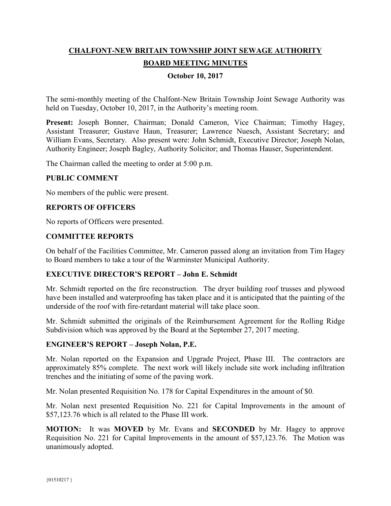# **CHALFONT-NEW BRITAIN TOWNSHIP JOINT SEWAGE AUTHORITY BOARD MEETING MINUTES**

# **October 10, 2017**

The semi-monthly meeting of the Chalfont-New Britain Township Joint Sewage Authority was held on Tuesday, October 10, 2017, in the Authority's meeting room.

Present: Joseph Bonner, Chairman; Donald Cameron, Vice Chairman; Timothy Hagey, Assistant Treasurer; Gustave Haun, Treasurer; Lawrence Nuesch, Assistant Secretary; and William Evans, Secretary. Also present were: John Schmidt, Executive Director; Joseph Nolan, Authority Engineer; Joseph Bagley, Authority Solicitor; and Thomas Hauser, Superintendent.

The Chairman called the meeting to order at 5:00 p.m.

# **PUBLIC COMMENT**

No members of the public were present.

# **REPORTS OF OFFICERS**

No reports of Officers were presented.

# **COMMITTEE REPORTS**

On behalf of the Facilities Committee, Mr. Cameron passed along an invitation from Tim Hagey to Board members to take a tour of the Warminster Municipal Authority.

# **EXECUTIVE DIRECTOR'S REPORT – John E. Schmidt**

Mr. Schmidt reported on the fire reconstruction. The dryer building roof trusses and plywood have been installed and waterproofing has taken place and it is anticipated that the painting of the underside of the roof with fire-retardant material will take place soon.

Mr. Schmidt submitted the originals of the Reimbursement Agreement for the Rolling Ridge Subdivision which was approved by the Board at the September 27, 2017 meeting.

# **ENGINEER'S REPORT – Joseph Nolan, P.E.**

Mr. Nolan reported on the Expansion and Upgrade Project, Phase III. The contractors are approximately 85% complete. The next work will likely include site work including infiltration trenches and the initiating of some of the paving work.

Mr. Nolan presented Requisition No. 178 for Capital Expenditures in the amount of \$0.

Mr. Nolan next presented Requisition No. 221 for Capital Improvements in the amount of \$57,123.76 which is all related to the Phase III work.

**MOTION:** It was **MOVED** by Mr. Evans and **SECONDED** by Mr. Hagey to approve Requisition No. 221 for Capital Improvements in the amount of \$57,123.76. The Motion was unanimously adopted.